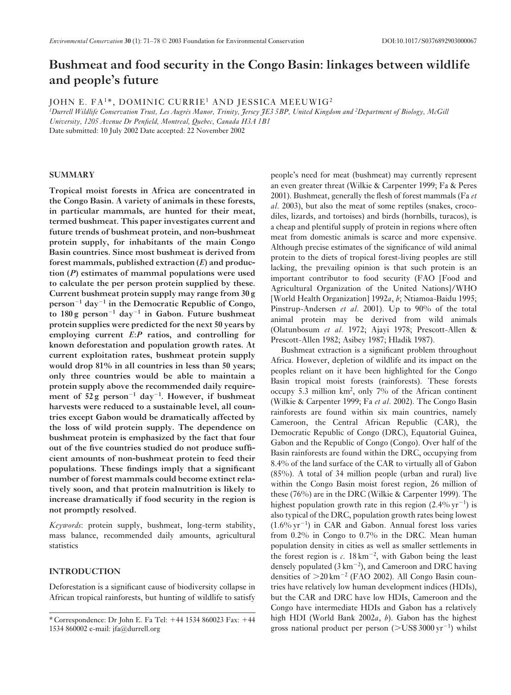# **Bushmeat and food security in the Congo Basin: linkages between wildlife and people's future**

JOHN E. FA<sup>1\*</sup>, DOMINIC CURRIE<sup>1</sup> AND JESSICA MEEUWIG<sup>2</sup>

*<sup>1</sup>Durrell Wildlife Conservation Trust, Les Augrès Manor, Trinity, Jersey JE3 5BP, United Kingdom and <sup>2</sup>Department of Biology, McGill University, 1205 Avenue Dr Penfield, Montreal, Quebec, Canada H3A 1B1*  Date submitted: 10 July 2002 Date accepted: 22 November 2002

**SUMMARY**

**Tropical moist forests in Africa are concentrated in the Congo Basin. A variety of animals in these forests, in particular mammals, are hunted for their meat, termed bushmeat. This paper investigates current and future trends of bushmeat protein, and non-bushmeat protein supply, for inhabitants of the main Congo Basin countries. Since most bushmeat is derived from forest mammals, published extraction (***E***) and production (***P***) estimates of mammal populations were used to calculate the per person protein supplied by these. Current bushmeat protein supply may range from 30 g person<sup>1</sup> day<sup>1</sup> in the Democratic Republic of Congo, to 180 g person<sup>1</sup> day<sup>1</sup> in Gabon. Future bushmeat protein supplies were predicted for the next 50 years by employing current** *E***:***P* **ratios, and controlling for known deforestation and population growth rates. At current exploitation rates, bushmeat protein supply would drop 81% in all countries in less than 50 years; only three countries would be able to maintain a protein supply above the recommended daily requirement of 52 g person<sup>1</sup> day<sup>1</sup> . However, if bushmeat harvests were reduced to a sustainable level, all countries except Gabon would be dramatically affected by the loss of wild protein supply. The dependence on bushmeat protein is emphasized by the fact that four out of the five countries studied do not produce sufficient amounts of non-bushmeat protein to feed their populations. These findings imply that a significant number of forest mammals could become extinct relatively soon, and that protein malnutrition is likely to increase dramatically if food security in the region is not promptly resolved.**

*Keywords*: protein supply, bushmeat, long-term stability, mass balance, recommended daily amounts, agricultural statistics

### **INTRODUCTION**

Deforestation is a significant cause of biodiversity collapse in African tropical rainforests, but hunting of wildlife to satisfy people's need for meat (bushmeat) may currently represent an even greater threat (Wilkie & Carpenter 1999; Fa & Peres 2001). Bushmeat, generally the flesh of forest mammals (Fa *et al*. 2003), but also the meat of some reptiles (snakes, crocodiles, lizards, and tortoises) and birds (hornbills, turacos), is a cheap and plentiful supply of protein in regions where often meat from domestic animals is scarce and more expensive. Although precise estimates of the significance of wild animal protein to the diets of tropical forest-living peoples are still lacking, the prevailing opinion is that such protein is an important contributor to food security (FAO [Food and Agricultural Organization of the United Nations]/WHO [World Health Organization] 1992*a*, *b*; Ntiamoa-Baidu 1995; Pinstrup-Andersen *et al*. 2001). Up to 90% of the total animal protein may be derived from wild animals (Olatunbosum *et al*. 1972; Ajayi 1978; Prescott-Allen & Prescott-Allen 1982; Asibey 1987; Hladik 1987).

Bushmeat extraction is a significant problem throughout Africa. However, depletion of wildlife and its impact on the peoples reliant on it have been highlighted for the Congo Basin tropical moist forests (rainforests). These forests occupy 5.3 million km<sup>2</sup> , only 7% of the African continent (Wilkie & Carpenter 1999; Fa *et al*. 2002). The Congo Basin rainforests are found within six main countries, namely Cameroon, the Central African Republic (CAR), the Democratic Republic of Congo (DRC), Equatorial Guinea, Gabon and the Republic of Congo (Congo). Over half of the Basin rainforests are found within the DRC, occupying from 8.4% of the land surface of the CAR to virtually all of Gabon (85%). A total of 34 million people (urban and rural) live within the Congo Basin moist forest region, 26 million of these (76%) are in the DRC (Wilkie & Carpenter 1999). The highest population growth rate in this region  $(2.4\% \text{ yr}^{-1})$  is also typical of the DRC, population growth rates being lowest  $(1.6\% \text{ yr}^{-1})$  in CAR and Gabon. Annual forest loss varies from 0.2% in Congo to 0.7% in the DRC. Mean human population density in cities as well as smaller settlements in the forest region is  $c$ .  $18 \text{ km}^{-2}$ , with Gabon being the least densely populated  $(3 \text{ km}^{-2})$ , and Cameroon and DRC having densities of  $>$ 20 km<sup>-2</sup> (FAO 2002). All Congo Basin countries have relatively low human development indices (HDIs), but the CAR and DRC have low HDIs, Cameroon and the Congo have intermediate HDIs and Gabon has a relatively high HDI (World Bank 2002*a*, *b*). Gabon has the highest gross national product per person ( $>$ US\$ 3000 yr<sup>-1</sup>) whilst

<sup>\*</sup> Correspondence: Dr John E. Fa Tel:  $+44$  1534 860023 Fax:  $+44$ 1534 860002 e-mail: jfa@durrell.org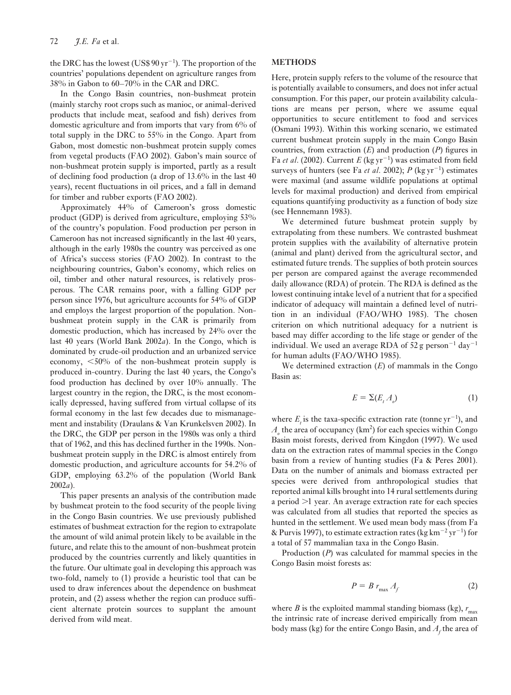the DRC has the lowest ( $\text{US}\$90\,\text{yr}^{-1}$ ). The proportion of the countries' populations dependent on agriculture ranges from 38% in Gabon to 60–70% in the CAR and DRC.

In the Congo Basin countries, non-bushmeat protein (mainly starchy root crops such as manioc, or animal-derived products that include meat, seafood and fish) derives from domestic agriculture and from imports that vary from 6% of total supply in the DRC to 55% in the Congo. Apart from Gabon, most domestic non-bushmeat protein supply comes from vegetal products (FAO 2002). Gabon's main source of non-bushmeat protein supply is imported, partly as a result of declining food production (a drop of 13.6% in the last 40 years), recent fluctuations in oil prices, and a fall in demand for timber and rubber exports (FAO 2002).

Approximately 44% of Cameroon's gross domestic product (GDP) is derived from agriculture, employing 53% of the country's population. Food production per person in Cameroon has not increased significantly in the last 40 years, although in the early 1980s the country was perceived as one of Africa's success stories (FAO 2002). In contrast to the neighbouring countries, Gabon's economy, which relies on oil, timber and other natural resources, is relatively prosperous. The CAR remains poor, with a falling GDP per person since 1976, but agriculture accounts for 54% of GDP and employs the largest proportion of the population. Nonbushmeat protein supply in the CAR is primarily from domestic production, which has increased by 24% over the last 40 years (World Bank 2002*a*). In the Congo, which is dominated by crude-oil production and an urbanized service economy,  $\leq 50\%$  of the non-bushmeat protein supply is produced in-country. During the last 40 years, the Congo's food production has declined by over 10% annually. The largest country in the region, the DRC, is the most economically depressed, having suffered from virtual collapse of its formal economy in the last few decades due to mismanagement and instability (Draulans & Van Krunkelsven 2002). In the DRC, the GDP per person in the 1980s was only a third that of 1962, and this has declined further in the 1990s. Nonbushmeat protein supply in the DRC is almost entirely from domestic production, and agriculture accounts for 54.2% of GDP, employing 63.2% of the population (World Bank 2002*a*).

This paper presents an analysis of the contribution made by bushmeat protein to the food security of the people living in the Congo Basin countries. We use previously published estimates of bushmeat extraction for the region to extrapolate the amount of wild animal protein likely to be available in the future, and relate this to the amount of non-bushmeat protein produced by the countries currently and likely quantities in the future. Our ultimate goal in developing this approach was two-fold, namely to (1) provide a heuristic tool that can be used to draw inferences about the dependence on bushmeat protein, and (2) assess whether the region can produce sufficient alternate protein sources to supplant the amount derived from wild meat.

### **METHODS**

Here, protein supply refers to the volume of the resource that is potentially available to consumers, and does not infer actual consumption. For this paper, our protein availability calculations are means per person, where we assume equal opportunities to secure entitlement to food and services (Osmani 1993). Within this working scenario, we estimated current bushmeat protein supply in the main Congo Basin countries, from extraction (*E*) and production (*P*) figures in Fa *et al.* (2002). Current  $E$  (kg yr<sup>-1</sup>) was estimated from field surveys of hunters (see Fa *et al.* 2002);  $P$  (kg yr<sup>-1</sup>) estimates were maximal (and assume wildlife populations at optimal levels for maximal production) and derived from empirical equations quantifying productivity as a function of body size (see Hennemann 1983).

We determined future bushmeat protein supply by extrapolating from these numbers. We contrasted bushmeat protein supplies with the availability of alternative protein (animal and plant) derived from the agricultural sector, and estimated future trends. The supplies of both protein sources per person are compared against the average recommended daily allowance (RDA) of protein. The RDA is defined as the lowest continuing intake level of a nutrient that for a specified indicator of adequacy will maintain a defined level of nutrition in an individual (FAO/WHO 1985). The chosen criterion on which nutritional adequacy for a nutrient is based may differ according to the life stage or gender of the individual. We used an average RDA of 52 g person<sup>-1</sup> day<sup>-1</sup> for human adults (FAO/WHO 1985).

We determined extraction (*E*) of mammals in the Congo Basin as:

$$
E = \Sigma (E_t A_o) \tag{1}
$$

where  $E_t$  is the taxa-specific extraction rate (tonne  $yr^{-1}$ ), and  $A_{\rho}$  the area of occupancy (km<sup>2</sup>) for each species within Congo Basin moist forests, derived from Kingdon (1997). We used data on the extraction rates of mammal species in the Congo basin from a review of hunting studies (Fa & Peres 2001). Data on the number of animals and biomass extracted per species were derived from anthropological studies that reported animal kills brought into 14 rural settlements during a period >1 year. An average extraction rate for each species was calculated from all studies that reported the species as hunted in the settlement. We used mean body mass (from Fa & Purvis 1997), to estimate extraction rates (kg km<sup>-2</sup> yr<sup>-1</sup>) for a total of 57 mammalian taxa in the Congo Basin.

Production (*P*) was calculated for mammal species in the Congo Basin moist forests as:

$$
P = B r_{\text{max}} A_f \tag{2}
$$

where *B* is the exploited mammal standing biomass (kg),  $r_{\text{max}}$ the intrinsic rate of increase derived empirically from mean body mass (kg) for the entire Congo Basin, and  $A_f$  the area of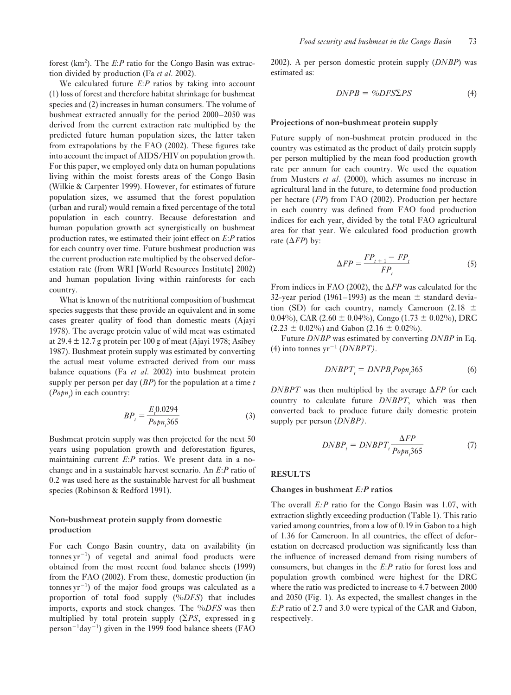forest (km<sup>2</sup>). The *E*:*P* ratio for the Congo Basin was extraction divided by production (Fa *et al*. 2002).

We calculated future *E*:*P* ratios by taking into account (1) loss of forest and therefore habitat shrinkage for bushmeat species and (2) increases in human consumers. The volume of bushmeat extracted annually for the period 2000–2050 was derived from the current extraction rate multiplied by the predicted future human population sizes, the latter taken from extrapolations by the FAO (2002). These figures take into account the impact of AIDS/HIV on population growth. For this paper, we employed only data on human populations living within the moist forests areas of the Congo Basin (Wilkie & Carpenter 1999). However, for estimates of future population sizes, we assumed that the forest population (urban and rural) would remain a fixed percentage of the total population in each country. Because deforestation and human population growth act synergistically on bushmeat production rates, we estimated their joint effect on *E*:*P* ratios for each country over time. Future bushmeat production was the current production rate multiplied by the observed deforestation rate (from WRI [World Resources Institute] 2002) and human population living within rainforests for each country.

What is known of the nutritional composition of bushmeat species suggests that these provide an equivalent and in some cases greater quality of food than domestic meats (Ajayi 1978). The average protein value of wild meat was estimated at 29.4 ± 12.7 g protein per 100 g of meat (Ajayi 1978; Asibey 1987). Bushmeat protein supply was estimated by converting the actual meat volume extracted derived from our mass balance equations (Fa *et al*. 2002) into bushmeat protein supply per person per day (*BP*) for the population at a time *t*  $(Popn<sub>t</sub>)$  in each country:

y:  
\n
$$
BP_t = \frac{E_t 0.0294}{P_{\text{opn}_t} 365} \tag{3}
$$

Bushmeat protein supply was then projected for the next 50 years using population growth and deforestation figures, maintaining current *E*:*P* ratios. We present data in a nochange and in a sustainable harvest scenario. An *E*:*P* ratio of 0.2 was used here as the sustainable harvest for all bushmeat species (Robinson & Redford 1991).

# **Non-bushmeat protein supply from domestic production**

For each Congo Basin country, data on availability (in  $\text{tomes yr}^{-1}$ ) of vegetal and animal food products were obtained from the most recent food balance sheets (1999) from the FAO (2002). From these, domestic production (in  $t$ onnes yr $^{-1}$ ) of the major food groups was calculated as a proportion of total food supply (%*DFS*) that includes imports, exports and stock changes. The %*DFS* was then multiplied by total protein supply  $(\Sigma PS,$  expressed in g  $person^{-1}day^{-1}$ ) given in the 1999 food balance sheets (FAO

2002). A per person domestic protein supply (*DNBP*) was estimated as:

$$
DNPB = \%DFS\Sigma PS \tag{4}
$$

### **Projections of non-bushmeat protein supply**

Future supply of non-bushmeat protein produced in the country was estimated as the product of daily protein supply per person multiplied by the mean food production growth rate per annum for each country. We used the equation from Musters *et al*. (2000), which assumes no increase in agricultural land in the future, to determine food production per hectare (*FP*) from FAO (2002). Production per hectare in each country was defined from FAO food production indices for each year, divided by the total FAO agricultural area for that year. We calculated food production growth rate  $(\Delta FP)$  by:

$$
\Delta FP = \frac{FP_{t+1} - FP_t}{FP_t} \tag{5}
$$

From indices in FAO (2002), the  $\Delta FP$  was calculated for the 32-year period (1961–1993) as the mean  $\pm$  standard deviation (SD) for each country, namely Cameroon (2.18  $\pm$ 0.04%), CAR (2.60  $\pm$  0.04%), Congo (1.73  $\pm$  0.02%), DRC  $(2.23 \pm 0.02\%)$  and Gabon  $(2.16 \pm 0.02\%)$ .

Future *DNBP* was estimated by converting *DNBP* in Eq. (4) into tonnes  $yr^{-1}$  (*DNBPT*).

$$
DNBPT_t = DNPB_t Popn_t^2 365 \tag{6}
$$

*DNBPT* was then multiplied by the average  $\Delta FP$  for each country to calculate future *DNBPT*, which was then converted back to produce future daily domestic protein supply per person (*DNBP)*.

son 
$$
(DNBP)
$$
.  
\n
$$
DNBP_t = DNBPT_t \frac{\Delta FP}{Popn_t^{365}}
$$
\n(7)

### **RESULTS**

#### **Changes in bushmeat** *E:P* **ratios**

The overall *E:P* ratio for the Congo Basin was 1.07, with extraction slightly exceeding production (Table 1). This ratio varied among countries, from a low of 0.19 in Gabon to a high of 1.36 for Cameroon. In all countries, the effect of deforestation on decreased production was significantly less than the influence of increased demand from rising numbers of consumers, but changes in the *E*:*P* ratio for forest loss and population growth combined were highest for the DRC where the ratio was predicted to increase to 4.7 between 2000 and 2050 (Fig. 1). As expected, the smallest changes in the *E*:*P* ratio of 2.7 and 3.0 were typical of the CAR and Gabon, respectively.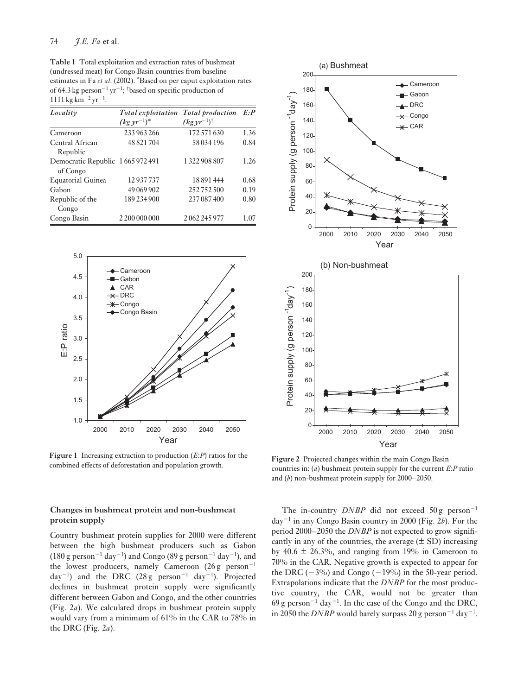**Table 1** Total exploitation and extraction rates of bushmeat (undressed meat) for Congo Basin countries from baseline estimates in Fa *et al*. (2002). \*Based on per caput exploitation rates of 64.3 kg person<sup>-1</sup> yr<sup>-1</sup>; <sup>†</sup>based on specific production of  $1111 \text{ kg km}^{-2} \text{ yr}^{-1}$ .

| Locality                         | Total exploitation Total production<br>$(kgyr^{-1})^*$ | $(kgyr^{-1})^{\dagger}$ | E: P |
|----------------------------------|--------------------------------------------------------|-------------------------|------|
|                                  |                                                        |                         |      |
| Central African                  | 48 821 704                                             | 58 034 196              | 0.84 |
| Republic                         |                                                        |                         |      |
| Democratic Republic 1665 972 491 |                                                        | 1 322 908 807           | 1.26 |
| of Congo                         |                                                        |                         |      |
| <b>Equatorial Guinea</b>         | 12937737                                               | 18 891 444              | 0.68 |
| Gabon                            | 49 069 902                                             | 252752500               | 0.19 |
| Republic of the                  | 189 234 900                                            | 237 087 400             | 0.80 |
| Congo                            |                                                        |                         |      |
| Congo Basin                      | 2 200 000 000                                          | 2062245977              | 1.07 |



**Figure 1** Increasing extraction to production (*E*:*P*) ratios for the combined effects of deforestation and population growth.

# **Changes in bushmeat protein and non-bushmeat protein supply**

Country bushmeat protein supplies for 2000 were different between the high bushmeat producers such as Gabon  $(180 \text{ g person}^{-1} \text{ day}^{-1})$  and Congo  $(89 \text{ g person}^{-1} \text{ day}^{-1})$ , and the lowest producers, namely Cameroon  $(26 g \text{ person}^{-1})$  $day^{-1}$ ) and the DRC (28 g person<sup>-1</sup> day<sup>-1</sup>). Projected declines in bushmeat protein supply were significantly different between Gabon and Congo, and the other countries (Fig. 2*a*). We calculated drops in bushmeat protein supply would vary from a minimum of 61% in the CAR to 78% in the DRC (Fig. 2*a*).



**Figure 2** Projected changes within the main Congo Basin countries in: (*a*) bushmeat protein supply for the current *E*:*P* ratio and (*b*) non-bushmeat protein supply for 2000–2050.

The in-country  $DNBP$  did not exceed  $50 g$  person<sup>-1</sup> day<sup>-1</sup> in any Congo Basin country in 2000 (Fig. 2b). For the period 2000–2050 the *DNBP* is not expected to grow significantly in any of the countries, the average  $(\pm SD)$  increasing by 40.6  $\pm$  26.3%, and ranging from 19% in Cameroon to 70% in the CAR. Negative growth is expected to appear for the DRC  $(-3\%)$  and Congo  $(-19\%)$  in the 50-year period. Extrapolations indicate that the *DNBP* for the most productive country, the CAR, would not be greater than  $69$  g person<sup>-1</sup> day<sup>-1</sup>. In the case of the Congo and the DRC, in 2050 the *DNBP* would barely surpass 20 g person<sup>-1</sup> day<sup>-1</sup>.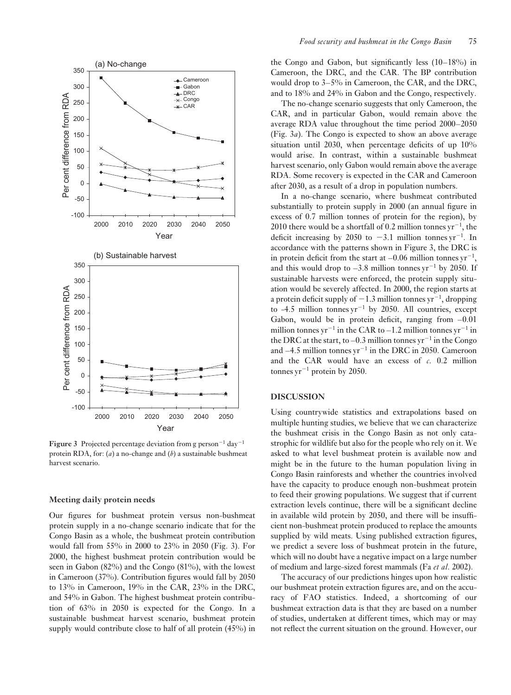

**Figure 3** Projected percentage deviation from g person<sup>-1</sup> day<sup>-1</sup> protein RDA, for: (*a*) a no-change and (*b*) a sustainable bushmeat harvest scenario.

### **Meeting daily protein needs**

Our figures for bushmeat protein versus non-bushmeat protein supply in a no-change scenario indicate that for the Congo Basin as a whole, the bushmeat protein contribution would fall from 55% in 2000 to 23% in 2050 (Fig. 3). For 2000, the highest bushmeat protein contribution would be seen in Gabon (82%) and the Congo (81%), with the lowest in Cameroon (37%). Contribution figures would fall by 2050 to 13% in Cameroon, 19% in the CAR, 23% in the DRC, and 54% in Gabon. The highest bushmeat protein contribution of 63% in 2050 is expected for the Congo. In a sustainable bushmeat harvest scenario, bushmeat protein supply would contribute close to half of all protein (45%) in

the Congo and Gabon, but significantly less (10–18%) in Cameroon, the DRC, and the CAR. The BP contribution would drop to 3–5% in Cameroon, the CAR, and the DRC, and to 18% and 24% in Gabon and the Congo, respectively.

The no-change scenario suggests that only Cameroon, the CAR, and in particular Gabon, would remain above the average RDA value throughout the time period 2000–2050 (Fig. 3*a*). The Congo is expected to show an above average situation until 2030, when percentage deficits of up 10% would arise. In contrast, within a sustainable bushmeat harvest scenario, only Gabon would remain above the average RDA. Some recovery is expected in the CAR and Cameroon after 2030, as a result of a drop in population numbers.

In a no-change scenario, where bushmeat contributed substantially to protein supply in 2000 (an annual figure in excess of 0.7 million tonnes of protein for the region), by 2010 there would be a shortfall of 0.2 million tonnes  $yr^{-1}$ , the deficit increasing by 2050 to  $-3.1$  million tonnes yr<sup>-1</sup>. In accordance with the patterns shown in Figure 3, the DRC is in protein deficit from the start at  $-0.06$  million tonnes yr<sup>-1</sup>, and this would drop to  $-3.8$  million tonnes yr<sup>-1</sup> by 2050. If sustainable harvests were enforced, the protein supply situation would be severely affected. In 2000, the region starts at a protein deficit supply of  $-1.3$  million tonnes yr<sup>-1</sup>, dropping to  $-4.5$  million tonnes yr<sup>-1</sup> by 2050. All countries, except Gabon, would be in protein deficit, ranging from  $-0.01$ million tonnes yr<sup>-1</sup> in the CAR to -1.2 million tonnes yr<sup>-1</sup> in the DRC at the start, to  $-0.3$  million tonnes yr<sup>-1</sup> in the Congo and  $-4.5$  million tonnes  $yr^{-1}$  in the DRC in 2050. Cameroon and the CAR would have an excess of *c.* 0.2 million tonnes  $yr^{-1}$  protein by 2050.

# **DISCUSSION**

Using countrywide statistics and extrapolations based on multiple hunting studies, we believe that we can characterize the bushmeat crisis in the Congo Basin as not only catastrophic for wildlife but also for the people who rely on it. We asked to what level bushmeat protein is available now and might be in the future to the human population living in Congo Basin rainforests and whether the countries involved have the capacity to produce enough non-bushmeat protein to feed their growing populations. We suggest that if current extraction levels continue, there will be a significant decline in available wild protein by 2050, and there will be insufficient non-bushmeat protein produced to replace the amounts supplied by wild meats. Using published extraction figures, we predict a severe loss of bushmeat protein in the future, which will no doubt have a negative impact on a large number of medium and large-sized forest mammals (Fa *et al*. 2002).

The accuracy of our predictions hinges upon how realistic our bushmeat protein extraction figures are, and on the accuracy of FAO statistics. Indeed, a shortcoming of our bushmeat extraction data is that they are based on a number of studies, undertaken at different times, which may or may not reflect the current situation on the ground. However, our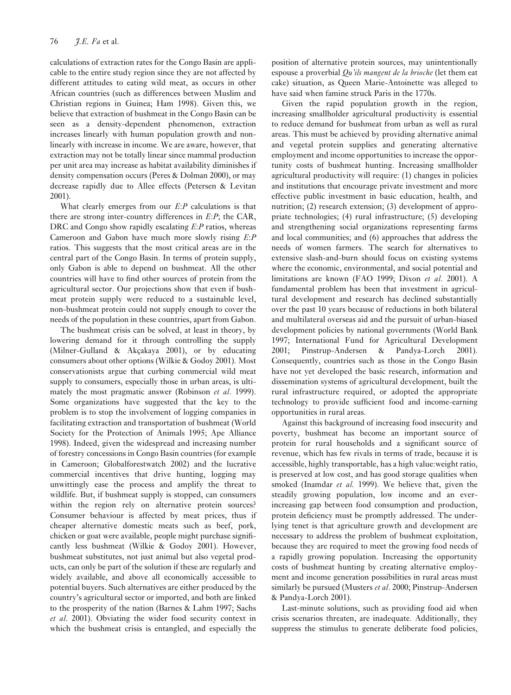calculations of extraction rates for the Congo Basin are applicable to the entire study region since they are not affected by different attitudes to eating wild meat, as occurs in other African countries (such as differences between Muslim and Christian regions in Guinea; Ham 1998). Given this, we believe that extraction of bushmeat in the Congo Basin can be seen as a density-dependent phenomenon, extraction increases linearly with human population growth and nonlinearly with increase in income. We are aware, however, that extraction may not be totally linear since mammal production per unit area may increase as habitat availability diminishes if density compensation occurs (Peres & Dolman 2000), or may decrease rapidly due to Allee effects (Petersen & Levitan 2001).

What clearly emerges from our *E*:*P* calculations is that there are strong inter-country differences in *E*:*P*; the CAR, DRC and Congo show rapidly escalating *E*:*P* ratios, whereas Cameroon and Gabon have much more slowly rising *E*:*P* ratios. This suggests that the most critical areas are in the central part of the Congo Basin. In terms of protein supply, only Gabon is able to depend on bushmeat. All the other countries will have to find other sources of protein from the agricultural sector. Our projections show that even if bushmeat protein supply were reduced to a sustainable level, non-bushmeat protein could not supply enough to cover the needs of the population in these countries, apart from Gabon.

The bushmeat crisis can be solved, at least in theory, by lowering demand for it through controlling the supply (Milner-Gulland & Akçakaya 2001), or by educating consumers about other options (Wilkie & Godoy 2001). Most conservationists argue that curbing commercial wild meat supply to consumers, especially those in urban areas, is ultimately the most pragmatic answer (Robinson *et al*. 1999). Some organizations have suggested that the key to the problem is to stop the involvement of logging companies in facilitating extraction and transportation of bushmeat (World Society for the Protection of Animals 1995; Ape Alliance 1998). Indeed, given the widespread and increasing number of forestry concessions in Congo Basin countries (for example in Cameroon; Globalforestwatch 2002) and the lucrative commercial incentives that drive hunting, logging may unwittingly ease the process and amplify the threat to wildlife. But, if bushmeat supply is stopped, can consumers within the region rely on alternative protein sources? Consumer behaviour is affected by meat prices, thus if cheaper alternative domestic meats such as beef, pork, chicken or goat were available, people might purchase significantly less bushmeat (Wilkie & Godoy 2001). However, bushmeat substitutes, not just animal but also vegetal products, can only be part of the solution if these are regularly and widely available, and above all economically accessible to potential buyers. Such alternatives are either produced by the country's agricultural sector or imported, and both are linked to the prosperity of the nation (Barnes & Lahm 1997; Sachs *et al*. 2001). Obviating the wider food security context in which the bushmeat crisis is entangled, and especially the

position of alternative protein sources, may unintentionally espouse a proverbial *Qu'ils mangent de la brioche* (let them eat cake) situation, as Queen Marie-Antoinette was alleged to have said when famine struck Paris in the 1770s.

Given the rapid population growth in the region, increasing smallholder agricultural productivity is essential to reduce demand for bushmeat from urban as well as rural areas. This must be achieved by providing alternative animal and vegetal protein supplies and generating alternative employment and income opportunities to increase the opportunity costs of bushmeat hunting. Increasing smallholder agricultural productivity will require: (1) changes in policies and institutions that encourage private investment and more effective public investment in basic education, health, and nutrition; (2) research extension; (3) development of appropriate technologies; (4) rural infrastructure; (5) developing and strengthening social organizations representing farms and local communities; and (6) approaches that address the needs of women farmers. The search for alternatives to extensive slash-and-burn should focus on existing systems where the economic, environmental, and social potential and limitations are known (FAO 1999; Dixon *et al*. 2001). A fundamental problem has been that investment in agricultural development and research has declined substantially over the past 10 years because of reductions in both bilateral and multilateral overseas aid and the pursuit of urban-biased development policies by national governments (World Bank 1997; International Fund for Agricultural Development 2001; Pinstrup-Andersen & Pandya-Lorch 2001). Consequently, countries such as those in the Congo Basin have not yet developed the basic research, information and dissemination systems of agricultural development, built the rural infrastructure required, or adopted the appropriate technology to provide sufficient food and income-earning opportunities in rural areas.

Against this background of increasing food insecurity and poverty, bushmeat has become an important source of protein for rural households and a significant source of revenue, which has few rivals in terms of trade, because it is accessible, highly transportable, has a high value:weight ratio, is preserved at low cost, and has good storage qualities when smoked (Inamdar *et al.* 1999). We believe that, given the steadily growing population, low income and an everincreasing gap between food consumption and production, protein deficiency must be promptly addressed. The underlying tenet is that agriculture growth and development are necessary to address the problem of bushmeat exploitation, because they are required to meet the growing food needs of a rapidly growing population. Increasing the opportunity costs of bushmeat hunting by creating alternative employment and income generation possibilities in rural areas must similarly be pursued (Musters *et al*. 2000; Pinstrup-Andersen & Pandya-Lorch 2001).

Last-minute solutions, such as providing food aid when crisis scenarios threaten, are inadequate. Additionally, they suppress the stimulus to generate deliberate food policies,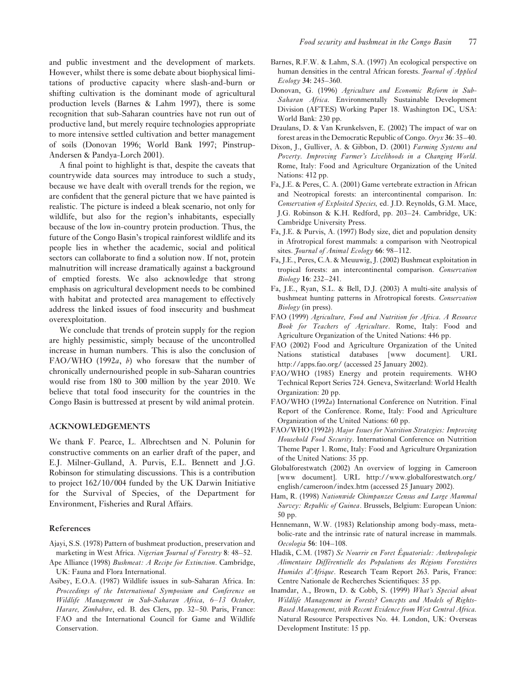and public investment and the development of markets. However, whilst there is some debate about biophysical limitations of productive capacity where slash-and-burn or shifting cultivation is the dominant mode of agricultural production levels (Barnes & Lahm 1997), there is some recognition that sub-Saharan countries have not run out of productive land, but merely require technologies appropriate to more intensive settled cultivation and better management of soils (Donovan 1996; World Bank 1997; Pinstrup-Andersen & Pandya-Lorch 2001).

A final point to highlight is that, despite the caveats that countrywide data sources may introduce to such a study, because we have dealt with overall trends for the region, we are confident that the general picture that we have painted is realistic. The picture is indeed a bleak scenario, not only for wildlife, but also for the region's inhabitants, especially because of the low in-country protein production. Thus, the future of the Congo Basin's tropical rainforest wildlife and its people lies in whether the academic, social and political sectors can collaborate to find a solution now. If not, protein malnutrition will increase dramatically against a background of emptied forests. We also acknowledge that strong emphasis on agricultural development needs to be combined with habitat and protected area management to effectively address the linked issues of food insecurity and bushmeat overexploitation.

We conclude that trends of protein supply for the region are highly pessimistic, simply because of the uncontrolled increase in human numbers. This is also the conclusion of FAO/WHO (1992*a*, *b*) who foresaw that the number of chronically undernourished people in sub-Saharan countries would rise from 180 to 300 million by the year 2010. We believe that total food insecurity for the countries in the Congo Basin is buttressed at present by wild animal protein.

## **ACKNOWLEDGEMENTS**

We thank F. Pearce, L. Albrechtsen and N. Polunin for constructive comments on an earlier draft of the paper, and E.J. Milner-Gulland, A. Purvis, E.L. Bennett and J.G. Robinson for stimulating discussions. This is a contribution to project 162/10/004 funded by the UK Darwin Initiative for the Survival of Species, of the Department for Environment, Fisheries and Rural Affairs.

### **References**

- Ajayi, S.S. (1978) Pattern of bushmeat production, preservation and marketing in West Africa. *Nigerian Journal of Forestry* **8**: 48–52.
- Ape Alliance (1998) *Bushmeat: A Recipe for Extinction*. Cambridge, UK: Fauna and Flora International.
- Asibey, E.O.A. (1987) Wildlife issues in sub-Saharan Africa. In: *Proceedings of the International Symposium and Conference on Wildlife Management in Sub-Saharan Africa, 6–13 October, Harare, Zimbabwe*, ed. B. des Clers, pp. 32–50. Paris, France: FAO and the International Council for Game and Wildlife Conservation.
- Barnes, R.F.W. & Lahm, S.A. (1997) An ecological perspective on human densities in the central African forests. *Journal of Applied Ecology* **34:** 245–360.
- Donovan, G. (1996) *Agriculture and Economic Reform in Sub-Saharan Africa.* Environmentally Sustainable Development Division (AFTES) Working Paper 18. Washington DC, USA: World Bank: 230 pp.
- Draulans, D. & Van Krunkelsven, E. (2002) The impact of war on forest areas in the Democratic Republic of Congo. *Oryx* **36**: 35–40.
- Dixon, J., Gulliver, A. & Gibbon, D. (2001) *Farming Systems and Poverty. Improving Farmer's Livelihoods in a Changing World*. Rome, Italy: Food and Agriculture Organization of the United Nations: 412 pp.
- Fa, J.E. & Peres, C. A. (2001) Game vertebrate extraction in African and Neotropical forests: an intercontinental comparison. In: *Conservation of Exploited Species,* ed. J.D. Reynolds, G.M. Mace, J.G. Robinson & K.H. Redford, pp. 203–24. Cambridge, UK: Cambridge University Press.
- Fa, J.E. & Purvis, A. (1997) Body size, diet and population density in Afrotropical forest mammals: a comparison with Neotropical sites. *Journal of Animal Ecology* **66**: 98–112.
- Fa, J.E., Peres, C.A. & Meuuwig, J. (2002) Bushmeat exploitation in tropical forests: an intercontinental comparison. *Conservation Biology* **16**: 232–241.
- Fa, J.E., Ryan, S.L. & Bell, D.J. (2003) A multi-site analysis of bushmeat hunting patterns in Afrotropical forests. *Conservation Biology* (in press).
- FAO (1999) *Agriculture, Food and Nutrition for Africa. A Resource Book for Teachers of Agriculture*. Rome, Italy: Food and Agriculture Organization of the United Nations: 446 pp.
- FAO (2002) Food and Agriculture Organization of the United Nations statistical databases [www document]. URL http://apps.fao.org/ (accessed 25 January 2002).
- FAO/WHO (1985) Energy and protein requirements. WHO Technical Report Series 724. Geneva, Switzerland: World Health Organization: 20 pp.
- FAO/WHO (1992*a*) International Conference on Nutrition. Final Report of the Conference. Rome, Italy: Food and Agriculture Organization of the United Nations: 60 pp.
- FAO/WHO (1992*b*) *Major Issues for Nutrition Strategies: Improving Household Food Security*. International Conference on Nutrition Theme Paper 1. Rome, Italy: Food and Agriculture Organization of the United Nations: 35 pp.
- Globalforestwatch (2002) An overview of logging in Cameroon [www document]. URL http://www.globalforestwatch.org/ english/cameroon/index.htm (accessed 25 January 2002).
- Ham, R. (1998) *Nationwide Chimpanzee Census and Large Mammal Survey: Republic of Guinea*. Brussels, Belgium: European Union: 50 pp.
- Hennemann, W.W. (1983) Relationship among body-mass, metabolic-rate and the intrinsic rate of natural increase in mammals. *Oecologia* **56**: 104–108.
- Hladik, C.M. (1987) *Se Nourrir en Foret Équatoriale: Anthropologie Alimentaire Différentielle des Populations des Régions Forestières Humides d'Afrique*. Research Team Report 263. Paris, France: Centre Nationale de Recherches Scientifiques: 35 pp.
- Inamdar, A., Brown, D. & Cobb, S. (1999) *What's Special about Wildlife Management in Forests? Concepts and Models of Rights-Based Management, with Recent Evidence from West Central Africa.* Natural Resource Perspectives No. 44. London, UK: Overseas Development Institute: 15 pp.